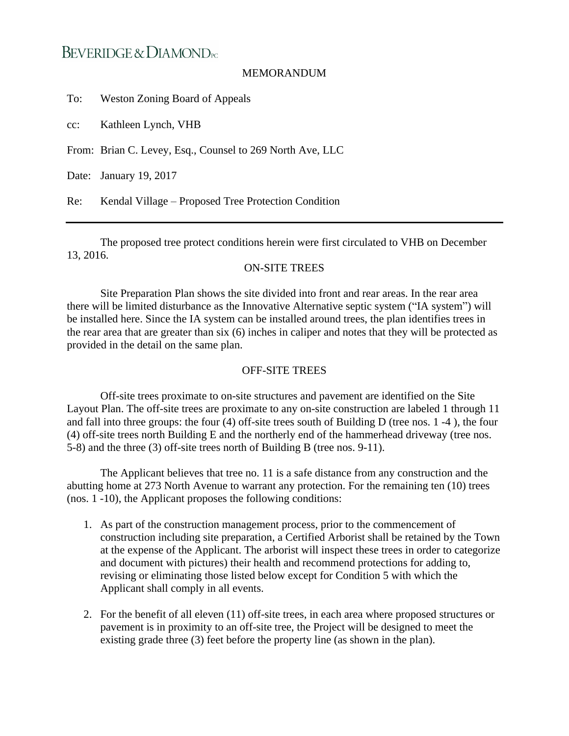## BEVERIDGE & DIAMOND<sub>PC</sub>

## MEMORANDUM

To: Weston Zoning Board of Appeals

cc: Kathleen Lynch, VHB

From: Brian C. Levey, Esq., Counsel to 269 North Ave, LLC

Date: January 19, 2017

Re: Kendal Village – Proposed Tree Protection Condition

The proposed tree protect conditions herein were first circulated to VHB on December 13, 2016.

## ON-SITE TREES

Site Preparation Plan shows the site divided into front and rear areas. In the rear area there will be limited disturbance as the Innovative Alternative septic system ("IA system") will be installed here. Since the IA system can be installed around trees, the plan identifies trees in the rear area that are greater than six (6) inches in caliper and notes that they will be protected as provided in the detail on the same plan.

## OFF-SITE TREES

Off-site trees proximate to on-site structures and pavement are identified on the Site Layout Plan. The off-site trees are proximate to any on-site construction are labeled 1 through 11 and fall into three groups: the four (4) off-site trees south of Building D (tree nos. 1 -4 ), the four (4) off-site trees north Building E and the northerly end of the hammerhead driveway (tree nos. 5-8) and the three (3) off-site trees north of Building B (tree nos. 9-11).

The Applicant believes that tree no. 11 is a safe distance from any construction and the abutting home at 273 North Avenue to warrant any protection. For the remaining ten (10) trees (nos. 1 -10), the Applicant proposes the following conditions:

- 1. As part of the construction management process, prior to the commencement of construction including site preparation, a Certified Arborist shall be retained by the Town at the expense of the Applicant. The arborist will inspect these trees in order to categorize and document with pictures) their health and recommend protections for adding to, revising or eliminating those listed below except for Condition 5 with which the Applicant shall comply in all events.
- 2. For the benefit of all eleven (11) off-site trees, in each area where proposed structures or pavement is in proximity to an off-site tree, the Project will be designed to meet the existing grade three (3) feet before the property line (as shown in the plan).